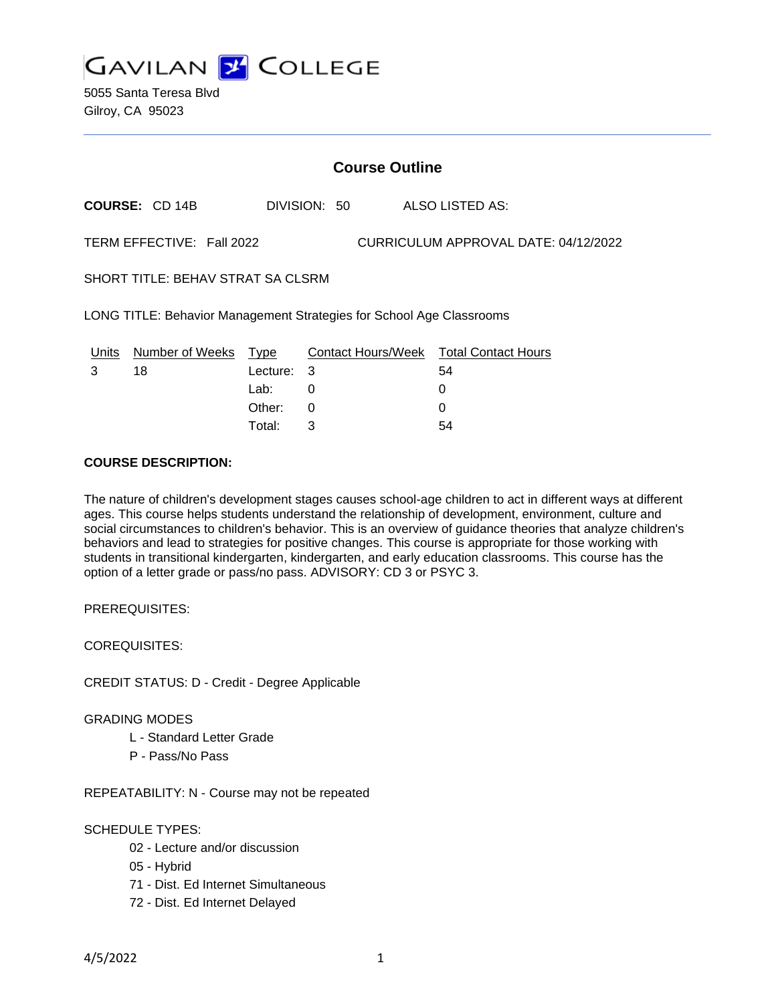

5055 Santa Teresa Blvd Gilroy, CA 95023

# **Course Outline**

**COURSE:** CD 14B DIVISION: 50 ALSO LISTED AS:

TERM EFFECTIVE: Fall 2022 CURRICULUM APPROVAL DATE: 04/12/2022

SHORT TITLE: BEHAV STRAT SA CLSRM

LONG TITLE: Behavior Management Strategies for School Age Classrooms

| Units | Number of Weeks Type |            | Contact Hours/Week Total Contact Hours |    |
|-------|----------------------|------------|----------------------------------------|----|
|       | 18                   | Lecture: 3 |                                        | 54 |
|       |                      | Lab:       |                                        |    |
|       |                      | Other:     |                                        |    |
|       |                      | Total:     |                                        | 54 |

### **COURSE DESCRIPTION:**

The nature of children's development stages causes school-age children to act in different ways at different ages. This course helps students understand the relationship of development, environment, culture and social circumstances to children's behavior. This is an overview of guidance theories that analyze children's behaviors and lead to strategies for positive changes. This course is appropriate for those working with students in transitional kindergarten, kindergarten, and early education classrooms. This course has the option of a letter grade or pass/no pass. ADVISORY: CD 3 or PSYC 3.

PREREQUISITES:

COREQUISITES:

CREDIT STATUS: D - Credit - Degree Applicable

#### GRADING MODES

- L Standard Letter Grade
- P Pass/No Pass

REPEATABILITY: N - Course may not be repeated

#### SCHEDULE TYPES:

- 02 Lecture and/or discussion
- 05 Hybrid
- 71 Dist. Ed Internet Simultaneous
- 72 Dist. Ed Internet Delayed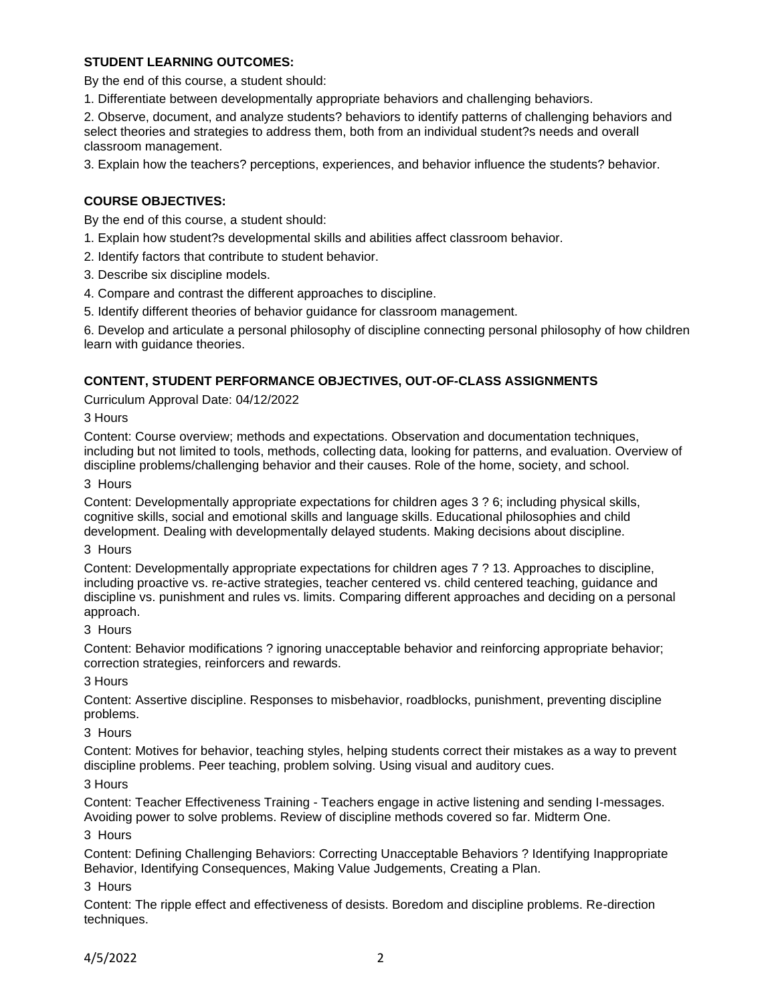# **STUDENT LEARNING OUTCOMES:**

By the end of this course, a student should:

1. Differentiate between developmentally appropriate behaviors and challenging behaviors.

2. Observe, document, and analyze students? behaviors to identify patterns of challenging behaviors and select theories and strategies to address them, both from an individual student?s needs and overall classroom management.

3. Explain how the teachers? perceptions, experiences, and behavior influence the students? behavior.

# **COURSE OBJECTIVES:**

By the end of this course, a student should:

- 1. Explain how student?s developmental skills and abilities affect classroom behavior.
- 2. Identify factors that contribute to student behavior.
- 3. Describe six discipline models.
- 4. Compare and contrast the different approaches to discipline.
- 5. Identify different theories of behavior guidance for classroom management.

6. Develop and articulate a personal philosophy of discipline connecting personal philosophy of how children learn with guidance theories.

#### **CONTENT, STUDENT PERFORMANCE OBJECTIVES, OUT-OF-CLASS ASSIGNMENTS**

Curriculum Approval Date: 04/12/2022

3 Hours

Content: Course overview; methods and expectations. Observation and documentation techniques, including but not limited to tools, methods, collecting data, looking for patterns, and evaluation. Overview of discipline problems/challenging behavior and their causes. Role of the home, society, and school.

#### 3 Hours

Content: Developmentally appropriate expectations for children ages 3 ? 6; including physical skills, cognitive skills, social and emotional skills and language skills. Educational philosophies and child development. Dealing with developmentally delayed students. Making decisions about discipline.

3 Hours

Content: Developmentally appropriate expectations for children ages 7 ? 13. Approaches to discipline, including proactive vs. re-active strategies, teacher centered vs. child centered teaching, guidance and discipline vs. punishment and rules vs. limits. Comparing different approaches and deciding on a personal approach.

### 3 Hours

Content: Behavior modifications ? ignoring unacceptable behavior and reinforcing appropriate behavior; correction strategies, reinforcers and rewards.

3 Hours

Content: Assertive discipline. Responses to misbehavior, roadblocks, punishment, preventing discipline problems.

### 3 Hours

Content: Motives for behavior, teaching styles, helping students correct their mistakes as a way to prevent discipline problems. Peer teaching, problem solving. Using visual and auditory cues.

### 3 Hours

Content: Teacher Effectiveness Training - Teachers engage in active listening and sending I-messages. Avoiding power to solve problems. Review of discipline methods covered so far. Midterm One.

# 3 Hours

Content: Defining Challenging Behaviors: Correcting Unacceptable Behaviors ? Identifying Inappropriate Behavior, Identifying Consequences, Making Value Judgements, Creating a Plan.

### 3 Hours

Content: The ripple effect and effectiveness of desists. Boredom and discipline problems. Re-direction techniques.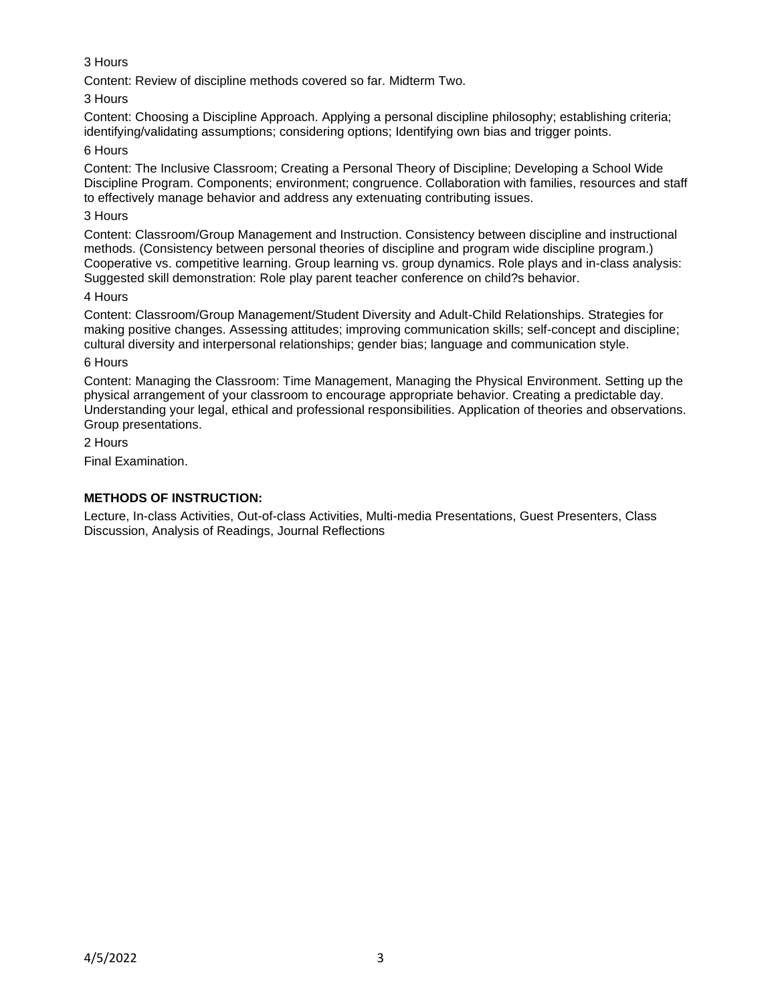# 3 Hours

Content: Review of discipline methods covered so far. Midterm Two.

# 3 Hours

Content: Choosing a Discipline Approach. Applying a personal discipline philosophy; establishing criteria; identifying/validating assumptions; considering options; Identifying own bias and trigger points.

# 6 Hours

Content: The Inclusive Classroom; Creating a Personal Theory of Discipline; Developing a School Wide Discipline Program. Components; environment; congruence. Collaboration with families, resources and staff to effectively manage behavior and address any extenuating contributing issues.

# 3 Hours

Content: Classroom/Group Management and Instruction. Consistency between discipline and instructional methods. (Consistency between personal theories of discipline and program wide discipline program.) Cooperative vs. competitive learning. Group learning vs. group dynamics. Role plays and in-class analysis: Suggested skill demonstration: Role play parent teacher conference on child?s behavior.

### 4 Hours

Content: Classroom/Group Management/Student Diversity and Adult-Child Relationships. Strategies for making positive changes. Assessing attitudes; improving communication skills; self-concept and discipline; cultural diversity and interpersonal relationships; gender bias; language and communication style.

### 6 Hours

Content: Managing the Classroom: Time Management, Managing the Physical Environment. Setting up the physical arrangement of your classroom to encourage appropriate behavior. Creating a predictable day. Understanding your legal, ethical and professional responsibilities. Application of theories and observations. Group presentations.

2 Hours

Final Examination.

# **METHODS OF INSTRUCTION:**

Lecture, In-class Activities, Out-of-class Activities, Multi-media Presentations, Guest Presenters, Class Discussion, Analysis of Readings, Journal Reflections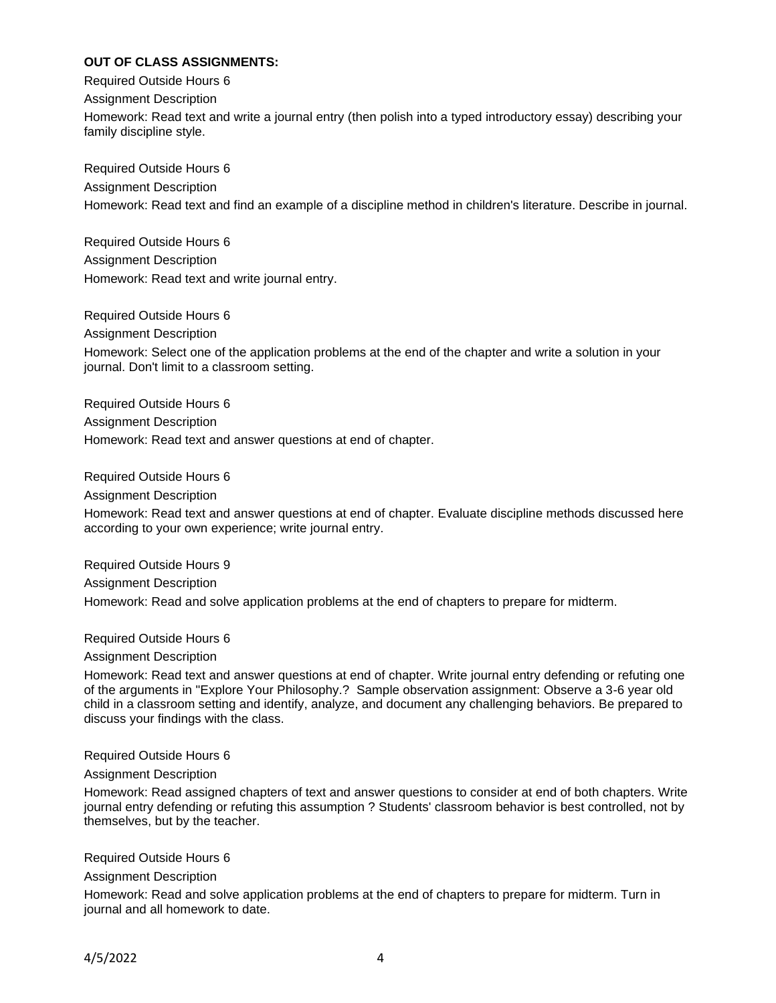# **OUT OF CLASS ASSIGNMENTS:**

Required Outside Hours 6 Assignment Description Homework: Read text and write a journal entry (then polish into a typed introductory essay) describing your family discipline style.

Required Outside Hours 6 Assignment Description Homework: Read text and find an example of a discipline method in children's literature. Describe in journal.

Required Outside Hours 6 Assignment Description Homework: Read text and write journal entry.

Required Outside Hours 6 Assignment Description Homework: Select one of the application problems at the end of the chapter and write a solution in your journal. Don't limit to a classroom setting.

Required Outside Hours 6 Assignment Description Homework: Read text and answer questions at end of chapter.

Required Outside Hours 6 Assignment Description Homework: Read text and answer questions at end of chapter. Evaluate discipline methods discussed here according to your own experience; write journal entry.

Required Outside Hours 9 Assignment Description Homework: Read and solve application problems at the end of chapters to prepare for midterm.

Required Outside Hours 6

Assignment Description

Homework: Read text and answer questions at end of chapter. Write journal entry defending or refuting one of the arguments in "Explore Your Philosophy.? Sample observation assignment: Observe a 3-6 year old child in a classroom setting and identify, analyze, and document any challenging behaviors. Be prepared to discuss your findings with the class.

Required Outside Hours 6

Assignment Description

Homework: Read assigned chapters of text and answer questions to consider at end of both chapters. Write journal entry defending or refuting this assumption ? Students' classroom behavior is best controlled, not by themselves, but by the teacher.

Required Outside Hours 6

Assignment Description

Homework: Read and solve application problems at the end of chapters to prepare for midterm. Turn in journal and all homework to date.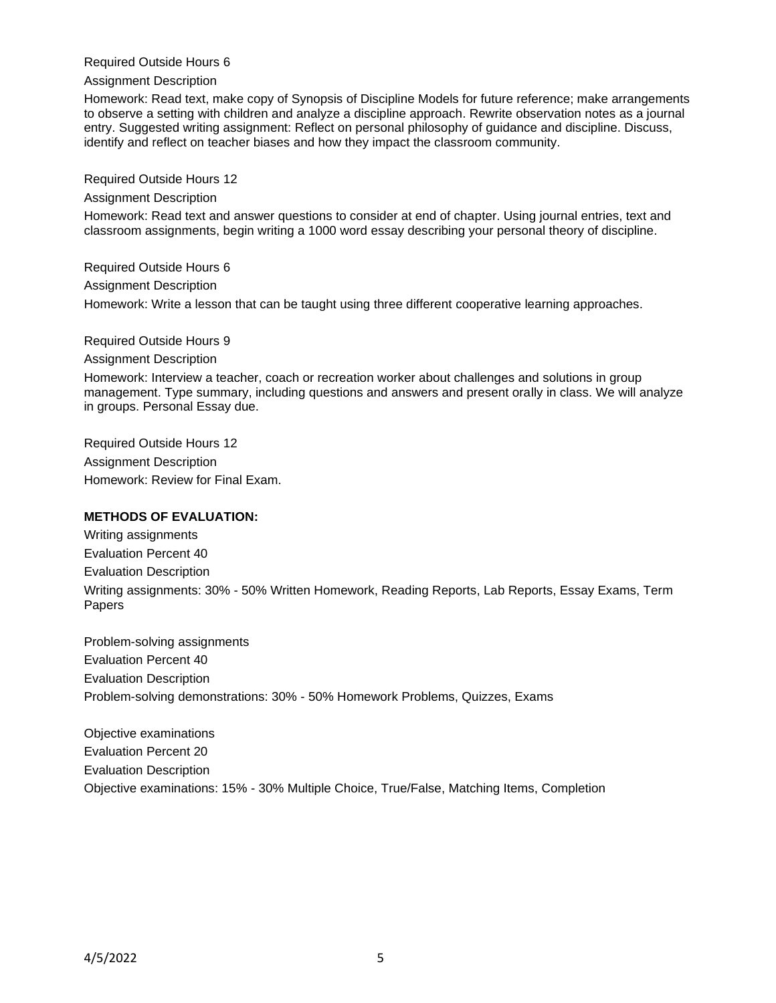Required Outside Hours 6

Assignment Description

Homework: Read text, make copy of Synopsis of Discipline Models for future reference; make arrangements to observe a setting with children and analyze a discipline approach. Rewrite observation notes as a journal entry. Suggested writing assignment: Reflect on personal philosophy of guidance and discipline. Discuss, identify and reflect on teacher biases and how they impact the classroom community.

Required Outside Hours 12

Assignment Description

Homework: Read text and answer questions to consider at end of chapter. Using journal entries, text and classroom assignments, begin writing a 1000 word essay describing your personal theory of discipline.

Required Outside Hours 6 Assignment Description Homework: Write a lesson that can be taught using three different cooperative learning approaches.

Required Outside Hours 9

Assignment Description

Homework: Interview a teacher, coach or recreation worker about challenges and solutions in group management. Type summary, including questions and answers and present orally in class. We will analyze in groups. Personal Essay due.

Required Outside Hours 12 Assignment Description Homework: Review for Final Exam.

### **METHODS OF EVALUATION:**

Writing assignments Evaluation Percent 40 Evaluation Description Writing assignments: 30% - 50% Written Homework, Reading Reports, Lab Reports, Essay Exams, Term Papers

Problem-solving assignments Evaluation Percent 40 Evaluation Description Problem-solving demonstrations: 30% - 50% Homework Problems, Quizzes, Exams

Objective examinations Evaluation Percent 20 Evaluation Description Objective examinations: 15% - 30% Multiple Choice, True/False, Matching Items, Completion